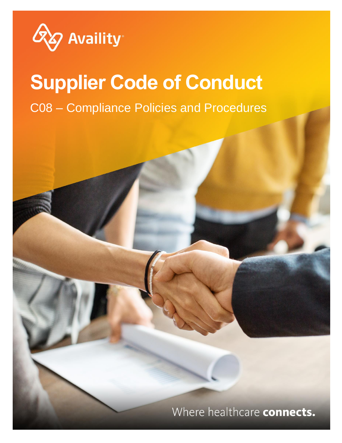

# **Supplier Code of Conduct** C08 – Compliance Policies and Procedures

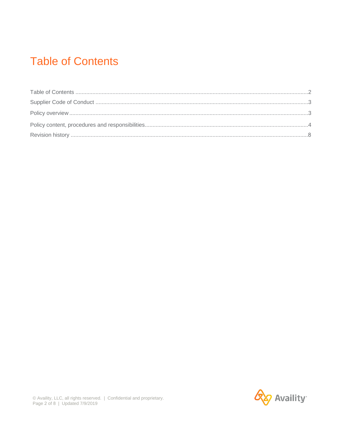### **Table of Contents**

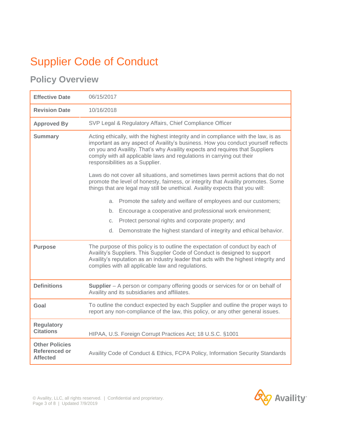## Supplier Code of Conduct

### **Policy Overview**

| <b>Effective Date</b>                                     | 06/15/2017                                                                                                                                                                                                                                                                                                                                                          |  |  |
|-----------------------------------------------------------|---------------------------------------------------------------------------------------------------------------------------------------------------------------------------------------------------------------------------------------------------------------------------------------------------------------------------------------------------------------------|--|--|
| <b>Revision Date</b>                                      | 10/16/2018                                                                                                                                                                                                                                                                                                                                                          |  |  |
| <b>Approved By</b>                                        | SVP Legal & Regulatory Affairs, Chief Compliance Officer                                                                                                                                                                                                                                                                                                            |  |  |
| <b>Summary</b>                                            | Acting ethically, with the highest integrity and in compliance with the law, is as<br>important as any aspect of Availity's business. How you conduct yourself reflects<br>on you and Availity. That's why Availity expects and requires that Suppliers<br>comply with all applicable laws and regulations in carrying out their<br>responsibilities as a Supplier. |  |  |
|                                                           | Laws do not cover all situations, and sometimes laws permit actions that do not<br>promote the level of honesty, fairness, or integrity that Availity promotes. Some<br>things that are legal may still be unethical. Availity expects that you will:                                                                                                               |  |  |
|                                                           | Promote the safety and welfare of employees and our customers;<br>a.                                                                                                                                                                                                                                                                                                |  |  |
|                                                           | Encourage a cooperative and professional work environment;<br>b.                                                                                                                                                                                                                                                                                                    |  |  |
|                                                           | Protect personal rights and corporate property; and<br>C.                                                                                                                                                                                                                                                                                                           |  |  |
|                                                           | Demonstrate the highest standard of integrity and ethical behavior.<br>d.                                                                                                                                                                                                                                                                                           |  |  |
| <b>Purpose</b>                                            | The purpose of this policy is to outline the expectation of conduct by each of<br>Availity's Suppliers. This Supplier Code of Conduct is designed to support<br>Availity's reputation as an industry leader that acts with the highest integrity and<br>complies with all applicable law and regulations.                                                           |  |  |
| <b>Definitions</b>                                        | <b>Supplier</b> – A person or company offering goods or services for or on behalf of<br>Availity and its subsidiaries and affiliates.                                                                                                                                                                                                                               |  |  |
| Goal                                                      | To outline the conduct expected by each Supplier and outline the proper ways to<br>report any non-compliance of the law, this policy, or any other general issues.                                                                                                                                                                                                  |  |  |
| <b>Regulatory</b><br><b>Citations</b>                     | HIPAA, U.S. Foreign Corrupt Practices Act; 18 U.S.C. §1001                                                                                                                                                                                                                                                                                                          |  |  |
| <b>Other Policies</b><br>Referenced or<br><b>Affected</b> | Availity Code of Conduct & Ethics, FCPA Policy, Information Security Standards                                                                                                                                                                                                                                                                                      |  |  |

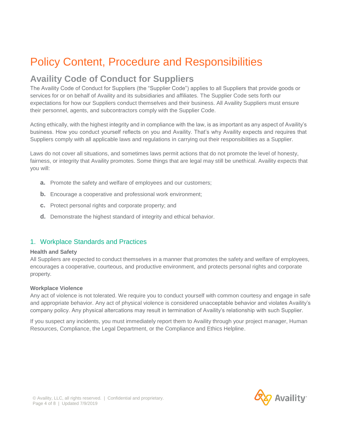### Policy Content, Procedure and Responsibilities

### **Availity Code of Conduct for Suppliers**

The Availity Code of Conduct for Suppliers (the "Supplier Code") applies to all Suppliers that provide goods or services for or on behalf of Availity and its subsidiaries and affiliates. The Supplier Code sets forth our expectations for how our Suppliers conduct themselves and their business. All Availity Suppliers must ensure their personnel, agents, and subcontractors comply with the Supplier Code.

Acting ethically, with the highest integrity and in compliance with the law, is as important as any aspect of Availity's business. How you conduct yourself reflects on you and Availity. That's why Availity expects and requires that Suppliers comply with all applicable laws and regulations in carrying out their responsibilities as a Supplier.

Laws do not cover all situations, and sometimes laws permit actions that do not promote the level of honesty, fairness, or integrity that Availity promotes. Some things that are legal may still be unethical. Availity expects that you will:

- **a.** Promote the safety and welfare of employees and our customers;
- **b.** Encourage a cooperative and professional work environment;
- **c.** Protect personal rights and corporate property; and
- **d.** Demonstrate the highest standard of integrity and ethical behavior.

#### 1. Workplace Standards and Practices

#### **Health and Safety**

All Suppliers are expected to conduct themselves in a manner that promotes the safety and welfare of employees, encourages a cooperative, courteous, and productive environment, and protects personal rights and corporate property.

#### **Workplace Violence**

Any act of violence is not tolerated. We require you to conduct yourself with common courtesy and engage in safe and appropriate behavior. Any act of physical violence is considered unacceptable behavior and violates Availity's company policy. Any physical altercations may result in termination of Availity's relationship with such Supplier.

If you suspect any incidents, you must immediately report them to Availity through your project manager, Human Resources, Compliance, the Legal Department, or the Compliance and Ethics Helpline.

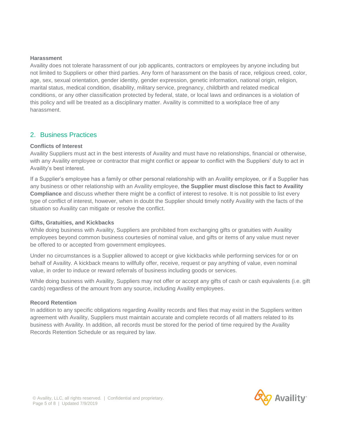#### **Harassment**

Availity does not tolerate harassment of our job applicants, contractors or employees by anyone including but not limited to Suppliers or other third parties. Any form of harassment on the basis of race, religious creed, color, age, sex, sexual orientation, gender identity, gender expression, genetic information, national origin, religion, marital status, medical condition, disability, military service, pregnancy, childbirth and related medical conditions, or any other classification protected by federal, state, or local laws and ordinances is a violation of this policy and will be treated as a disciplinary matter. Availity is committed to a workplace free of any harassment.

#### 2. Business Practices

#### **Conflicts of Interest**

Availity Suppliers must act in the best interests of Availity and must have no relationships, financial or otherwise, with any Availity employee or contractor that might conflict or appear to conflict with the Suppliers' duty to act in Availity's best interest.

If a Supplier's employee has a family or other personal relationship with an Availity employee, or if a Supplier has any business or other relationship with an Availity employee, **the Supplier must disclose this fact to Availity Compliance** and discuss whether there might be a conflict of interest to resolve. It is not possible to list every type of conflict of interest, however, when in doubt the Supplier should timely notify Availity with the facts of the situation so Availity can mitigate or resolve the conflict.

#### **Gifts, Gratuities, and Kickbacks**

While doing business with Availity, Suppliers are prohibited from exchanging gifts or gratuities with Availity employees beyond common business courtesies of nominal value, and gifts or items of any value must never be offered to or accepted from government employees.

Under no circumstances is a Supplier allowed to accept or give kickbacks while performing services for or on behalf of Availity. A kickback means to willfully offer, receive, request or pay anything of value, even nominal value, in order to induce or reward referrals of business including goods or services.

While doing business with Availity, Suppliers may not offer or accept any gifts of cash or cash equivalents (i.e. gift cards) regardless of the amount from any source, including Availity employees.

#### **Record Retention**

In addition to any specific obligations regarding Availity records and files that may exist in the Suppliers written agreement with Availity, Suppliers must maintain accurate and complete records of all matters related to its business with Availity. In addition, all records must be stored for the period of time required by the Availity Records Retention Schedule or as required by law.

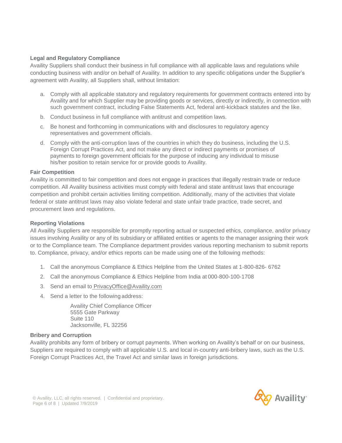#### **Legal and Regulatory Compliance**

Availity Suppliers shall conduct their business in full compliance with all applicable laws and regulations while conducting business with and/or on behalf of Availity. In addition to any specific obligations under the Supplier's agreement with Availity, all Suppliers shall, without limitation:

- a. Comply with all applicable statutory and regulatory requirements for government contracts entered into by Availity and for which Supplier may be providing goods or services, directly or indirectly, in connection with such government contract, including False Statements Act, federal anti-kickback statutes and the like.
- b. Conduct business in full compliance with antitrust and competition laws.
- c. Be honest and forthcoming in communications with and disclosures to regulatory agency representatives and government officials.
- d. Comply with the anti-corruption laws of the countries in which they do business, including the U.S. Foreign Corrupt Practices Act, and not make any direct or indirect payments or promises of payments to foreign government officials for the purpose of inducing any individual to misuse his/her position to retain service for or provide goods to Availity.

#### **Fair Competition**

Availity is committed to fair competition and does not engage in practices that illegally restrain trade or reduce competition. All Availity business activities must comply with federal and state antitrust laws that encourage competition and prohibit certain activities limiting competition. Additionally, many of the activities that violate federal or state antitrust laws may also violate federal and state unfair trade practice, trade secret, and procurement laws and regulations.

#### **Reporting Violations**

All Availity Suppliers are responsible for promptly reporting actual or suspected ethics, compliance, and/or privacy issues involving Availity or any of its subsidiary or affiliated entities or agents to the manager assigning their work or to the Compliance team. The Compliance department provides various reporting mechanism to submit reports to. Compliance, privacy, and/or ethics reports can be made using one of the following methods:

- 1. Call the anonymous Compliance & Ethics Helpline from the United States at 1-800-826- 6762
- 2. Call the anonymous Compliance & Ethics Helpline from India at 000-800-100-1708
- 3. Send an email to [PrivacyOffice@Availity.com](mailto:PrivacyOffice@Availity.com)
- 4. Send a letter to the following address:

Availity Chief Compliance Officer 5555 Gate Parkway Suite 110 Jacksonville, FL 32256

#### **Bribery and Corruption**

Availity prohibits any form of bribery or corrupt payments. When working on Availity's behalf or on our business, Suppliers are required to comply with all applicable U.S. and local in-country anti-bribery laws, such as the U.S. Foreign Corrupt Practices Act, the Travel Act and similar laws in foreign jurisdictions.

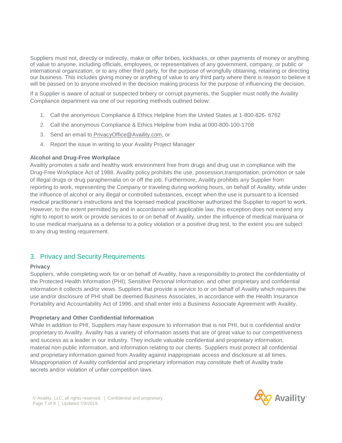Suppliers must not, directly or indirectly, make or offer bribes, kickbacks, or other payments of money or anything of value to anyone, including officials, employees, or representatives of any government, company, or public or international organization, or to any other third party, for the purpose of wrongfully obtaining, retaining or directing our business. This includes giving money or anything of value to any third party where there is reason to believe it will be passed on to anyone involved in the decision making process for the purpose of influencing the decision.

If a Supplier is aware of actual or suspected bribery or corrupt payments, the Supplier must notify the Availity Compliance department via one of our reporting methods outlined below:

- 1. Call the anonymous Compliance & Ethics Helpline from the United States at 1-800-826- 6762
- 2. Call the anonymous Compliance & Ethics Helpline from India at 000-800-100-1708
- 3. Send an email to [PrivacyOffice@Availity.com,](mailto:PrivacyOffice@Availity.com) or
- 4. Report the issue in writing to your Availity Project Manager

#### **Alcohol and Drug-Free Workplace**

Availity promotes a safe and healthy work environment free from drugs and drug use in compliance with the Drug-Free Workplace Act of 1988. Availity policy prohibits the use, possession,transportation, promotion or sale of illegal drugs or drug paraphernalia on or off the job. Furthermore, Availity prohibits any Supplier from reporting to work, representing the Company or traveling during working hours, on behalf of Availity, while under the influence of alcohol or any illegal or controlled substances, except when the use is pursuant to a licensed medical practitioner's instructions and the licensed medical practitioner authorized the Supplier to report to work. However, to the extent permitted by and in accordance with applicable law, this exception does not extend any right to report to work or provide services to or on behalf of Availity, under the influence of medical marijuana or to use medical marijuana as a defense to a policy violation or a positive drug test, to the extent you are subject to any drug testing requirement.

#### 3. Privacy and Security Requirements

#### **Privacy**

Suppliers, while completing work for or on behalf of Availity, have a responsibility to protect the confidentiality of the Protected Health Information (PHI), Sensitive Personal Information, and other proprietary and confidential information it collects and/or views. Suppliers that provide a service to or on behalf of Availity which requires the use and/or disclosure of PHI shall be deemed Business Associates, in accordance with the Health Insurance Portability and Accountability Act of 1996, and shall enter into a Business Associate Agreement with Availity.

#### **Proprietary and Other Confidential Information**

While In addition to PHI, Suppliers may have exposure to information that is not PHI, but is confidential and/or proprietary to Availity. Availity has a variety of information assets that are of great value to our competitiveness and success as a leader in our industry. They include valuable confidential and proprietary information, material non-public information, and information relating to our clients. Suppliers must protect all confidential and proprietary information gained from Availity against inappropriate access and disclosure at all times. Misappropriation of Availity confidential and proprietary information may constitute theft of Availity trade secrets and/or violation of unfair competition laws.